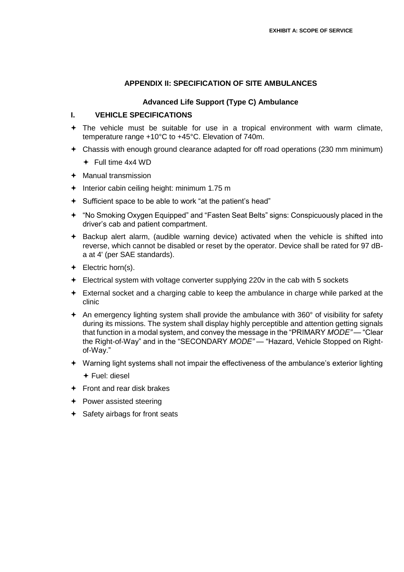## **APPENDIX II: SPECIFICATION OF SITE AMBULANCES**

## **Advanced Life Support (Type C) Ambulance**

## **I. VEHICLE SPECIFICATIONS**

- The vehicle must be suitable for use in a tropical environment with warm climate, temperature range +10°C to +45°C. Elevation of 740m.
- Chassis with enough ground clearance adapted for off road operations (230 mm minimum)
	- $\div$  Full time 4x4 WD
- $\div$  Manual transmission
- $+$  Interior cabin ceiling height: minimum 1.75 m
- Sufficient space to be able to work "at the patient's head"
- "No Smoking Oxygen Equipped" and "Fasten Seat Belts" signs: Conspicuously placed in the driver's cab and patient compartment.
- Backup alert alarm, (audible warning device) activated when the vehicle is shifted into reverse, which cannot be disabled or reset by the operator. Device shall be rated for 97 dBa at 4' (per SAE standards).
- + Electric horn(s).
- $\div$  Electrical system with voltage converter supplying 220 $\nu$  in the cab with 5 sockets
- External socket and a charging cable to keep the ambulance in charge while parked at the clinic
- $\triangle$  An emergency lighting system shall provide the ambulance with 360 $^{\circ}$  of visibility for safety during its missions. The system shall display highly perceptible and attention getting signals that function in a modal system, and convey the message in the "PRIMARY *MODE"* — "Clear the Right-of-Way" and in the "SECONDARY *MODE"* — "Hazard, Vehicle Stopped on Rightof-Way."
- Warning light systems shall not impair the effectiveness of the ambulance's exterior lighting
	- Fuel: diesel
- $\div$  Front and rear disk brakes
- **← Power assisted steering**
- $\div$  Safety airbags for front seats